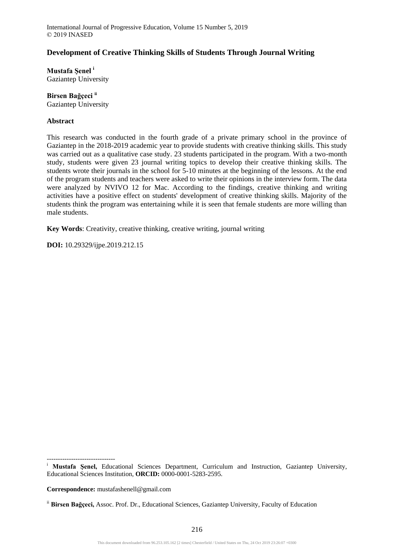# **Development of Creative Thinking Skills of Students Through Journal Writing**

**Mustafa Şenel <sup>i</sup>** Gaziantep University

**Birsen Bağçeci ii** Gaziantep University

## **Abstract**

This research was conducted in the fourth grade of a private primary school in the province of Gaziantep in the 2018-2019 academic year to provide students with creative thinking skills. This study was carried out as a qualitative case study. 23 students participated in the program. With a two-month study, students were given 23 journal writing topics to develop their creative thinking skills. The students wrote their journals in the school for 5-10 minutes at the beginning of the lessons. At the end of the program students and teachers were asked to write their opinions in the interview form. The data were analyzed by NVIVO 12 for Mac. According to the findings, creative thinking and writing activities have a positive effect on students' development of creative thinking skills. Majority of the students think the program was entertaining while it is seen that female students are more willing than male students.

**Key Words**: Creativity, creative thinking, creative writing, journal writing

**DOI:** 10.29329/ijpe.2019.212.15

-------------------------------

**Correspondence:** mustafashenell@gmail.com

<sup>&</sup>lt;sup>i</sup> Mustafa Şenel, Educational Sciences Department, Curriculum and Instruction, Gaziantep University, Educational Sciences Institution, **ORCID:** 0000-0001-5283-2595.

ii **Birsen Bağçeci,** Assoc. Prof. Dr., Educational Sciences, Gaziantep University, Faculty of Education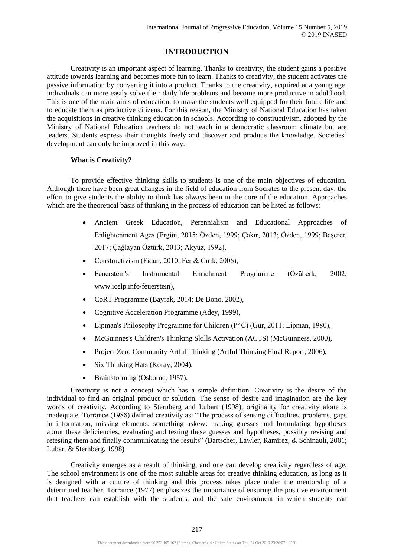# **INTRODUCTION**

Creativity is an important aspect of learning. Thanks to creativity, the student gains a positive attitude towards learning and becomes more fun to learn. Thanks to creativity, the student activates the passive information by converting it into a product. Thanks to the creativity, acquired at a young age, individuals can more easily solve their daily life problems and become more productive in adulthood. This is one of the main aims of education: to make the students well equipped for their future life and to educate them as productive citizens. For this reason, the Ministry of National Education has taken the acquisitions in creative thinking education in schools. According to constructivism, adopted by the Ministry of National Education teachers do not teach in a democratic classroom climate but are leaders. Students express their thoughts freely and discover and produce the knowledge. Societies' development can only be improved in this way.

# **What is Creativity?**

To provide effective thinking skills to students is one of the main objectives of education. Although there have been great changes in the field of education from Socrates to the present day, the effort to give students the ability to think has always been in the core of the education. Approaches which are the theoretical basis of thinking in the process of education can be listed as follows:

- Ancient Greek Education, Perennialism and Educational Approaches of Enlightenment Ages (Ergün, 2015; Özden, 1999; Çakır, 2013; Özden, 1999; Başerer, 2017; Çağlayan Öztürk, 2013; Akyüz, 1992),
- Constructivism (Fidan, 2010; Fer & Cırık, 2006),
- Feuerstein's Instrumental Enrichment Programme (Özüberk, 2002; www.icelp.info/feuerstein),
- CoRT Programme (Bayrak, 2014; De Bono, 2002),
- Cognitive Acceleration Programme (Adey, 1999),
- Lipman's Philosophy Programme for Children (P4C) (Gür, 2011; Lipman, 1980),
- McGuinnes's Children's Thinking Skills Activation (ACTS) (McGuinness, 2000),
- Project Zero Community Artful Thinking (Artful Thinking Final Report, 2006),
- Six Thinking Hats (Koray, 2004),
- Brainstorming (Osborne, 1957).

Creativity is not a concept which has a simple definition. Creativity is the desire of the individual to find an original product or solution. The sense of desire and imagination are the key words of creativity. According to Sternberg and Lubart (1998), originality for creativity alone is inadequate. Torrance (1988) defined creativity as: "The process of sensing difficulties, problems, gaps in information, missing elements, something askew: making guesses and formulating hypotheses about these deficiencies; evaluating and testing these guesses and hypotheses; possibly revising and retesting them and finally communicating the results" (Bartscher, Lawler, Ramirez, & Schinault, 2001; Lubart & Sternberg, 1998)

Creativity emerges as a result of thinking, and one can develop creativity regardless of age. The school environment is one of the most suitable areas for creative thinking education, as long as it is designed with a culture of thinking and this process takes place under the mentorship of a determined teacher. Torrance (1977) emphasizes the importance of ensuring the positive environment that teachers can establish with the students, and the safe environment in which students can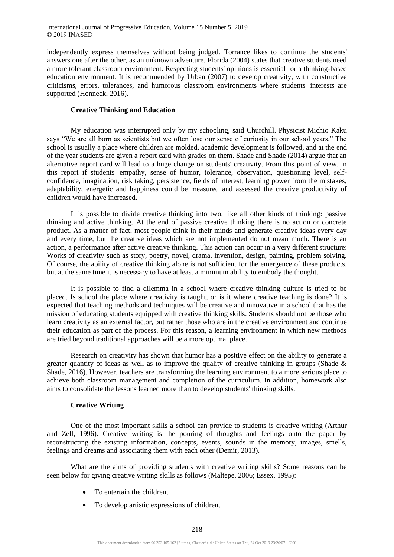independently express themselves without being judged. Torrance likes to continue the students' answers one after the other, as an unknown adventure. Florida (2004) states that creative students need a more tolerant classroom environment. Respecting students' opinions is essential for a thinking-based education environment. It is recommended by Urban (2007) to develop creativity, with constructive criticisms, errors, tolerances, and humorous classroom environments where students' interests are supported (Honneck, 2016).

# **Creative Thinking and Education**

My education was interrupted only by my schooling, said Churchill. Physicist Michio Kaku says "We are all born as scientists but we often lose our sense of curiosity in our school years." The school is usually a place where children are molded, academic development is followed, and at the end of the year students are given a report card with grades on them. Shade and Shade (2014) argue that an alternative report card will lead to a huge change on students' creativity. From this point of view, in this report if students' empathy, sense of humor, tolerance, observation, questioning level, selfconfidence, imagination, risk taking, persistence, fields of interest, learning power from the mistakes, adaptability, energetic and happiness could be measured and assessed the creative productivity of children would have increased.

It is possible to divide creative thinking into two, like all other kinds of thinking: passive thinking and active thinking. At the end of passive creative thinking there is no action or concrete product. As a matter of fact, most people think in their minds and generate creative ideas every day and every time, but the creative ideas which are not implemented do not mean much. There is an action, a performance after active creative thinking. This action can occur in a very different structure: Works of creativity such as story, poetry, novel, drama, invention, design, painting, problem solving. Of course, the ability of creative thinking alone is not sufficient for the emergence of these products, but at the same time it is necessary to have at least a minimum ability to embody the thought.

It is possible to find a dilemma in a school where creative thinking culture is tried to be placed. Is school the place where creativity is taught, or is it where creative teaching is done? It is expected that teaching methods and techniques will be creative and innovative in a school that has the mission of educating students equipped with creative thinking skills. Students should not be those who learn creativity as an external factor, but rather those who are in the creative environment and continue their education as part of the process. For this reason, a learning environment in which new methods are tried beyond traditional approaches will be a more optimal place.

Research on creativity has shown that humor has a positive effect on the ability to generate a greater quantity of ideas as well as to improve the quality of creative thinking in groups (Shade  $\&$ Shade, 2016). However, teachers are transforming the learning environment to a more serious place to achieve both classroom management and completion of the curriculum. In addition, homework also aims to consolidate the lessons learned more than to develop students' thinking skills.

# **Creative Writing**

One of the most important skills a school can provide to students is creative writing (Arthur and Zell, 1996). Creative writing is the pouring of thoughts and feelings onto the paper by reconstructing the existing information, concepts, events, sounds in the memory, images, smells, feelings and dreams and associating them with each other (Demir, 2013).

What are the aims of providing students with creative writing skills? Some reasons can be seen below for giving creative writing skills as follows (Maltepe, 2006; Essex, 1995):

- To entertain the children,
- To develop artistic expressions of children,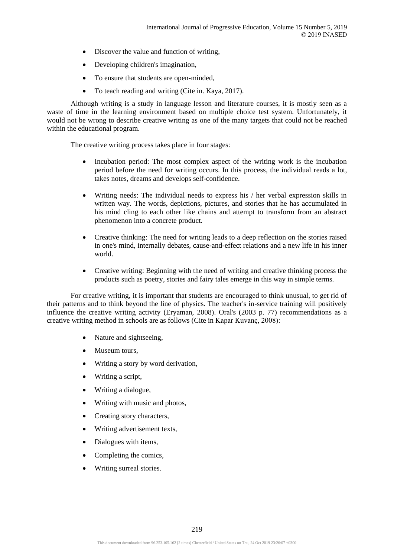- Discover the value and function of writing,
- Developing children's imagination,
- To ensure that students are open-minded,
- To teach reading and writing (Cite in. Kaya, 2017).

Although writing is a study in language lesson and literature courses, it is mostly seen as a waste of time in the learning environment based on multiple choice test system. Unfortunately, it would not be wrong to describe creative writing as one of the many targets that could not be reached within the educational program.

The creative writing process takes place in four stages:

- Incubation period: The most complex aspect of the writing work is the incubation period before the need for writing occurs. In this process, the individual reads a lot, takes notes, dreams and develops self-confidence.
- Writing needs: The individual needs to express his / her verbal expression skills in written way. The words, depictions, pictures, and stories that he has accumulated in his mind cling to each other like chains and attempt to transform from an abstract phenomenon into a concrete product.
- Creative thinking: The need for writing leads to a deep reflection on the stories raised in one's mind, internally debates, cause-and-effect relations and a new life in his inner world.
- Creative writing: Beginning with the need of writing and creative thinking process the products such as poetry, stories and fairy tales emerge in this way in simple terms.

For creative writing, it is important that students are encouraged to think unusual, to get rid of their patterns and to think beyond the line of physics. The teacher's in-service training will positively influence the creative writing activity (Eryaman, 2008). Oral's (2003 p. 77) recommendations as a creative writing method in schools are as follows (Cite in Kapar Kuvanç, 2008):

- Nature and sightseeing,
- Museum tours,
- Writing a story by word derivation,
- Writing a script.
- Writing a dialogue,
- Writing with music and photos,
- Creating story characters,
- Writing advertisement texts,
- Dialogues with items,
- Completing the comics,
- Writing surreal stories.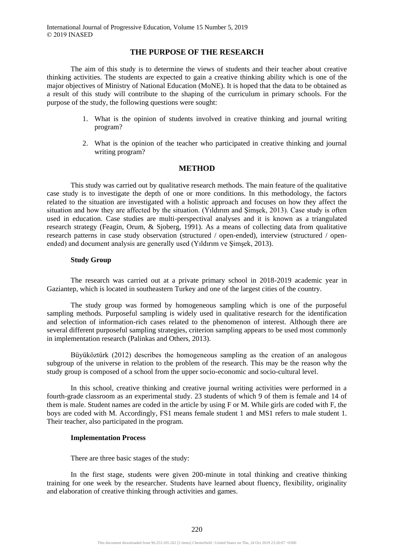# **THE PURPOSE OF THE RESEARCH**

The aim of this study is to determine the views of students and their teacher about creative thinking activities. The students are expected to gain a creative thinking ability which is one of the major objectives of Ministry of National Education (MoNE). It is hoped that the data to be obtained as a result of this study will contribute to the shaping of the curriculum in primary schools. For the purpose of the study, the following questions were sought:

- 1. What is the opinion of students involved in creative thinking and journal writing program?
- 2. What is the opinion of the teacher who participated in creative thinking and journal writing program?

#### **METHOD**

This study was carried out by qualitative research methods. The main feature of the qualitative case study is to investigate the depth of one or more conditions. In this methodology, the factors related to the situation are investigated with a holistic approach and focuses on how they affect the situation and how they are affected by the situation. (Yıldırım and Şimşek, 2013). Case study is often used in education. Case studies are multi-perspectival analyses and it is known as a triangulated research strategy (Feagin, Orum, & Sjoberg, 1991). As a means of collecting data from qualitative research patterns in case study observation (structured / open-ended), interview (structured / openended) and document analysis are generally used (Yıldırım ve Şimşek, 2013).

#### **Study Group**

The research was carried out at a private primary school in 2018-2019 academic year in Gaziantep, which is located in southeastern Turkey and one of the largest cities of the country.

The study group was formed by homogeneous sampling which is one of the purposeful sampling methods. Purposeful sampling is widely used in qualitative research for the identification and selection of information-rich cases related to the phenomenon of interest. Although there are several different purposeful sampling strategies, criterion sampling appears to be used most commonly in implementation research (Palinkas and Others, 2013).

Büyüköztürk (2012) describes the homogeneous sampling as the creation of an analogous subgroup of the universe in relation to the problem of the research. This may be the reason why the study group is composed of a school from the upper socio-economic and socio-cultural level.

In this school, creative thinking and creative journal writing activities were performed in a fourth-grade classroom as an experimental study. 23 students of which 9 of them is female and 14 of them is male. Student names are coded in the article by using F or M. While girls are coded with F, the boys are coded with M. Accordingly, FS1 means female student 1 and MS1 refers to male student 1. Their teacher, also participated in the program.

#### **Implementation Process**

There are three basic stages of the study:

In the first stage, students were given 200-minute in total thinking and creative thinking training for one week by the researcher. Students have learned about fluency, flexibility, originality and elaboration of creative thinking through activities and games.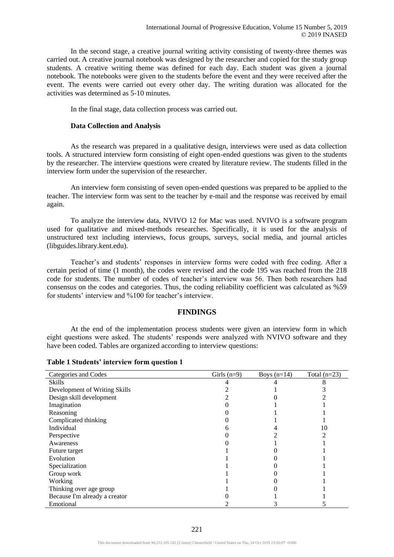In the second stage, a creative journal writing activity consisting of twenty-three themes was carried out. A creative journal notebook was designed by the researcher and copied for the study group students. A creative writing theme was defined for each day. Each student was given a journal notebook. The notebooks were given to the students before the event and they were received after the event. The events were carried out every other day. The writing duration was allocated for the activities was determined as 5-10 minutes.

In the final stage, data collection process was carried out.

#### **Data Collection and Analysis**

As the research was prepared in a qualitative design, interviews were used as data collection tools. A structured interview form consisting of eight open-ended questions was given to the students by the researcher. The interview questions were created by literature review. The students filled in the interview form under the supervision of the researcher.

An interview form consisting of seven open-ended questions was prepared to be applied to the teacher. The interview form was sent to the teacher by e-mail and the response was received by email again.

To analyze the interview data, NVIVO 12 for Mac was used. NVIVO is a software program used for qualitative and mixed-methods researches. Specifically, it is used for the analysis of unstructured text including interviews, focus groups, surveys, social media, and journal articles (libguides.library.kent.edu).

Teacher's and students' responses in interview forms were coded with free coding. After a certain period of time (1 month), the codes were revised and the code 195 was reached from the 218 code for students. The number of codes of teacher's interview was 56. Then both researchers had consensus on the codes and categories. Thus, the coding reliability coefficient was calculated as %59 for students' interview and %100 for teacher's interview.

# **FINDINGS**

At the end of the implementation process students were given an interview form in which eight questions were asked. The students' responds were analyzed with NVIVO software and they have been coded. Tables are organized according to interview questions:

| Categories and Codes          | Girls $(n=9)$ | Boys $(n=14)$ | Total $(n=23)$ |
|-------------------------------|---------------|---------------|----------------|
| <b>Skills</b>                 |               |               |                |
| Development of Writing Skills |               |               |                |
| Design skill development      |               |               |                |
| Imagination                   |               |               |                |
| Reasoning                     |               |               |                |
| Complicated thinking          |               |               |                |
| Individual                    |               |               |                |
| Perspective                   |               |               |                |
| Awareness                     |               |               |                |
| Future target                 |               |               |                |
| Evolution                     |               |               |                |
| Specialization                |               |               |                |
| Group work                    |               |               |                |
| Working                       |               |               |                |
| Thinking over age group       |               |               |                |
| Because I'm already a creator |               |               |                |
| Emotional                     |               |               |                |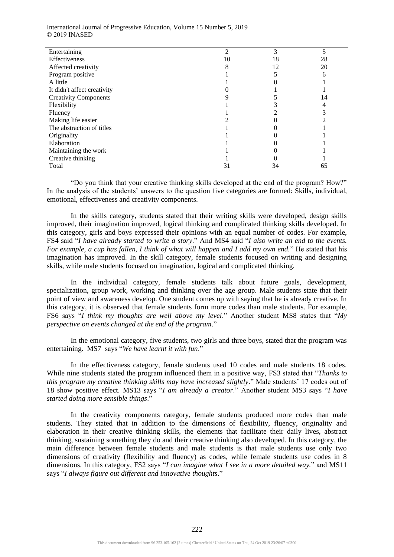International Journal of Progressive Education, Volume 15 Number 5, 2019 © 2019 INASED

| Entertaining                 |    |    |    |
|------------------------------|----|----|----|
| Effectiveness                | 10 | 18 | 28 |
| Affected creativity          |    | 12 | 20 |
| Program positive             |    |    |    |
| A little                     |    |    |    |
| It didn't affect creativity  |    |    |    |
| <b>Creativity Components</b> |    |    | 14 |
| Flexibility                  |    |    |    |
| Fluency                      |    |    |    |
| Making life easier           |    |    |    |
| The abstraction of titles    |    |    |    |
| Originality                  |    |    |    |
| Elaboration                  |    |    |    |
| Maintaining the work         |    |    |    |
| Creative thinking            |    |    |    |
| Total                        | 31 | 34 | 65 |

"Do you think that your creative thinking skills developed at the end of the program? How?" In the analysis of the students' answers to the question five categories are formed: Skills, individual, emotional, effectiveness and creativity components.

In the skills category, students stated that their writing skills were developed, design skills improved, their imagination improved, logical thinking and complicated thinking skills developed. In this category, girls and boys expressed their opinions with an equal number of codes. For example, FS4 said "*I have already started to write a story*." And MS4 said "*I also write an end to the events. For example, a cup has fallen, I think of what will happen and I add my own end.*" He stated that his imagination has improved. In the skill category, female students focused on writing and designing skills, while male students focused on imagination, logical and complicated thinking.

In the individual category, female students talk about future goals, development, specialization, group work, working and thinking over the age group. Male students state that their point of view and awareness develop. One student comes up with saying that he is already creative. In this category, it is observed that female students form more codes than male students. For example, FS6 says "*I think my thoughts are well above my level*." Another student MS8 states that "*My perspective on events changed at the end of the program*."

In the emotional category, five students, two girls and three boys, stated that the program was entertaining. MS7 says "*We have learnt it with fun*."

In the effectiveness category, female students used 10 codes and male students 18 codes. While nine students stated the program influenced them in a positive way, FS3 stated that "*Thanks to this program my creative thinking skills may have increased slightly*." Male students' 17 codes out of 18 show positive effect. MS13 says "*I am already a creator*." Another student MS3 says "*I have started doing more sensible things*."

In the creativity components category, female students produced more codes than male students. They stated that in addition to the dimensions of flexibility, fluency, originality and elaboration in their creative thinking skills, the elements that facilitate their daily lives, abstract thinking, sustaining something they do and their creative thinking also developed. In this category, the main difference between female students and male students is that male students use only two dimensions of creativity (flexibility and fluency) as codes, while female students use codes in 8 dimensions. In this category, FS2 says "*I can imagine what I see in a more detailed way.*" and MS11 says "*I always figure out different and innovative thoughts*."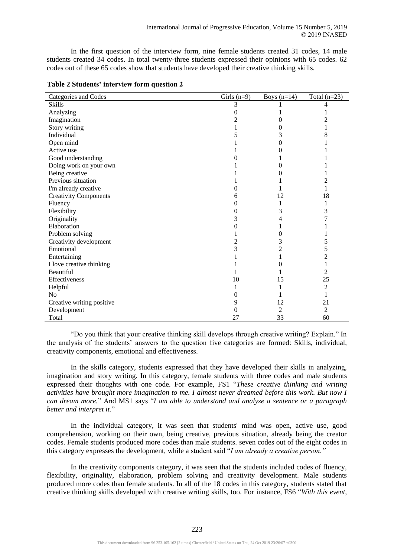In the first question of the interview form, nine female students created 31 codes, 14 male students created 34 codes. In total twenty-three students expressed their opinions with 65 codes. 62 codes out of these 65 codes show that students have developed their creative thinking skills.

| Categories and Codes         | Girls $(n=9)$ | Boys $(n=14)$ | Total $(n=23)$ |
|------------------------------|---------------|---------------|----------------|
| <b>Skills</b>                | 3             |               | 4              |
| Analyzing                    |               |               |                |
| Imagination                  |               |               |                |
| Story writing                |               |               |                |
| Individual                   |               |               | 8              |
| Open mind                    |               |               |                |
| Active use                   |               |               |                |
| Good understanding           |               |               |                |
| Doing work on your own       |               |               |                |
| Being creative               |               |               |                |
| Previous situation           |               |               |                |
| I'm already creative         |               |               |                |
| <b>Creativity Components</b> | n             | 12            | 18             |
| Fluency                      |               |               |                |
| Flexibility                  |               | 3             | 3              |
| Originality                  | 3             |               |                |
| Elaboration                  |               |               |                |
| Problem solving              |               |               |                |
| Creativity development       |               |               | 5              |
| Emotional                    | 3             |               | 5              |
| Entertaining                 |               |               | $\overline{c}$ |
| I love creative thinking     |               |               | 1              |
| Beautiful                    |               |               | 2              |
| Effectiveness                | 10            | 15            | 25             |
| Helpful                      |               |               | $\overline{c}$ |
| N <sub>o</sub>               |               |               | 1              |
| Creative writing positive    | 9             | 12            | 21             |
| Development                  | 0             | 2             | 2              |
| Total                        | 27            | 33            | 60             |

#### **Table 2 Students' interview form question 2**

"Do you think that your creative thinking skill develops through creative writing? Explain." In the analysis of the students' answers to the question five categories are formed: Skills, individual, creativity components, emotional and effectiveness.

In the skills category, students expressed that they have developed their skills in analyzing, imagination and story writing. In this category, female students with three codes and male students expressed their thoughts with one code. For example, FS1 "*These creative thinking and writing activities have brought more imagination to me. I almost never dreamed before this work. But now I can dream more.*" And MS1 says "*I am able to understand and analyze a sentence or a paragraph better and interpret it.*"

In the individual category, it was seen that students' mind was open, active use, good comprehension, working on their own, being creative, previous situation, already being the creator codes. Female students produced more codes than male students. seven codes out of the eight codes in this category expresses the development, while a student said "*I am already a creative person."*

In the creativity components category, it was seen that the students included codes of fluency, flexibility, originality, elaboration, problem solving and creativity development. Male students produced more codes than female students. In all of the 18 codes in this category, students stated that creative thinking skills developed with creative writing skills, too. For instance, FS6 "*With this event,*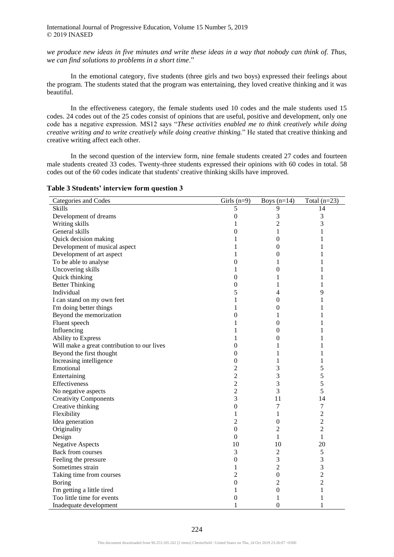International Journal of Progressive Education, Volume 15 Number 5, 2019 © 2019 INASED

*we produce new ideas in five minutes and write these ideas in a way that nobody can think of. Thus, we can find solutions to problems in a short time*."

In the emotional category, five students (three girls and two boys) expressed their feelings about the program. The students stated that the program was entertaining, they loved creative thinking and it was beautiful.

In the effectiveness category, the female students used 10 codes and the male students used 15 codes. 24 codes out of the 25 codes consist of opinions that are useful, positive and development, only one code has a negative expression. MS12 says "*These activities enabled me to think creatively while doing creative writing and to write creatively while doing creative thinking.*" He stated that creative thinking and creative writing affect each other.

In the second question of the interview form, nine female students created 27 codes and fourteen male students created 33 codes. Twenty-three students expressed their opinions with 60 codes in total. 58 codes out of the 60 codes indicate that students' creative thinking skills have improved.

| Categories and Codes                        | Girls $(n=9)$    | Boys $(n=14)$    | Total $(n=23)$                                               |
|---------------------------------------------|------------------|------------------|--------------------------------------------------------------|
| <b>Skills</b>                               | 5                | 9                | 14                                                           |
| Development of dreams                       | $\boldsymbol{0}$ | 3                | 3                                                            |
| Writing skills                              | 1                | 2                | 3                                                            |
| General skills                              | $\boldsymbol{0}$ | 1                | 1                                                            |
| Quick decision making                       | 1                | $\boldsymbol{0}$ | 1                                                            |
| Development of musical aspect               | 1                | $\boldsymbol{0}$ | 1                                                            |
| Development of art aspect                   | 1                | 0                | 1                                                            |
| To be able to analyse                       | $\boldsymbol{0}$ | 1                | 1                                                            |
| Uncovering skills                           | 1                | $\boldsymbol{0}$ | 1                                                            |
| Quick thinking                              | $\boldsymbol{0}$ | 1                | 1                                                            |
| <b>Better Thinking</b>                      | $\boldsymbol{0}$ | 1                | $\mathbf{1}$                                                 |
| Individual                                  | 5                | 4                | 9                                                            |
| I can stand on my own feet                  | 1                | 0                | 1                                                            |
| I'm doing better things                     | 1                | $\boldsymbol{0}$ | 1                                                            |
| Beyond the memorization                     | $\boldsymbol{0}$ | 1                | 1                                                            |
| Fluent speech                               | 1                | $\overline{0}$   | 1                                                            |
| Influencing                                 | 1                | 0                | 1                                                            |
| Ability to Express                          | 1                | 0                | 1                                                            |
| Will make a great contribution to our lives | $\boldsymbol{0}$ | 1                | 1                                                            |
| Beyond the first thought                    | $\boldsymbol{0}$ | 1                | 1                                                            |
| Increasing intelligence                     | $\boldsymbol{0}$ | 1                | 1                                                            |
| Emotional                                   | $\overline{2}$   | 3                | 5                                                            |
| Entertaining                                | $\overline{c}$   | 3                | 5                                                            |
| Effectiveness                               | $\overline{2}$   | 3                | 5                                                            |
| No negative aspects                         | $\overline{2}$   | 3                | 5                                                            |
| <b>Creativity Components</b>                | 3                | 11               | 14                                                           |
| Creative thinking                           | $\boldsymbol{0}$ | 7                | $\boldsymbol{7}$                                             |
| Flexibility                                 | 1                | 1                | $\mathfrak{2}% =\mathfrak{2}\left( \mathfrak{2}\right) ^{2}$ |
| Idea generation                             | $\overline{2}$   | $\boldsymbol{0}$ | $\overline{2}$                                               |
| Originality                                 | $\boldsymbol{0}$ | 2                | $\overline{2}$                                               |
| Design                                      | $\overline{0}$   | 1                | $\mathbf{1}$                                                 |
| <b>Negative Aspects</b>                     | 10               | 10               | 20                                                           |
| Back from courses                           | 3                | 2                | $\sqrt{5}$                                                   |
| Feeling the pressure                        | $\boldsymbol{0}$ | 3                | $\mathfrak{Z}$                                               |
| Sometimes strain                            | 1                | $\overline{c}$   | $\mathfrak{Z}$                                               |
| Taking time from courses                    | $\overline{c}$   | $\boldsymbol{0}$ | $\overline{2}$                                               |
| <b>Boring</b>                               | $\boldsymbol{0}$ | 2                | $\overline{2}$                                               |
| I'm getting a little tired                  | 1                | 0                | 1                                                            |
| Too little time for events                  | $\mathbf{0}$     | 1                | 1                                                            |
| Inadequate development                      | 1                | $\boldsymbol{0}$ | 1                                                            |

## **Table 3 Students' interview form question 3**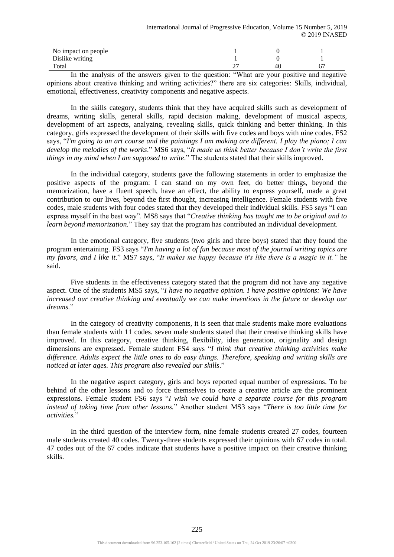| No impact on people |    |  |
|---------------------|----|--|
| Dislike writing     |    |  |
| Total               | 40 |  |
|                     |    |  |

In the analysis of the answers given to the question: "What are your positive and negative opinions about creative thinking and writing activities?" there are six categories: Skills, individual, emotional, effectiveness, creativity components and negative aspects.

In the skills category, students think that they have acquired skills such as development of dreams, writing skills, general skills, rapid decision making, development of musical aspects, development of art aspects, analyzing, revealing skills, quick thinking and better thinking. In this category, girls expressed the development of their skills with five codes and boys with nine codes. FS2 says, "*I'm going to an art course and the paintings I am making are different. I play the piano; I can develop the melodies of the works*." MS6 says, "*It made us think better because I don't write the first things in my mind when I am supposed to write*." The students stated that their skills improved.

In the individual category, students gave the following statements in order to emphasize the positive aspects of the program: I can stand on my own feet, do better things, beyond the memorization, have a fluent speech, have an effect, the ability to express yourself, made a great contribution to our lives, beyond the first thought, increasing intelligence. Female students with five codes, male students with four codes stated that they developed their individual skills. FS5 says "I can express myself in the best way". MS8 says that "*Creative thinking has taught me to be original and to learn beyond memorization.*" They say that the program has contributed an individual development.

In the emotional category, five students (two girls and three boys) stated that they found the program entertaining. FS3 says "*I'm having a lot of fun because most of the journal writing topics are my favors, and I like it*." MS7 says, "*It makes me happy because it's like there is a magic in it."* he said.

Five students in the effectiveness category stated that the program did not have any negative aspect. One of the students MS5 says, "*I have no negative opinion. I have positive opinions: We have increased our creative thinking and eventually we can make inventions in the future or develop our dreams.*"

In the category of creativity components, it is seen that male students make more evaluations than female students with 11 codes. seven male students stated that their creative thinking skills have improved. In this category, creative thinking, flexibility, idea generation, originality and design dimensions are expressed. Female student FS4 says "*I think that creative thinking activities make difference. Adults expect the little ones to do easy things. Therefore, speaking and writing skills are noticed at later ages. This program also revealed our skills*."

In the negative aspect category, girls and boys reported equal number of expressions. To be behind of the other lessons and to force themselves to create a creative article are the prominent expressions. Female student FS6 says "*I wish we could have a separate course for this program instead of taking time from other lessons.*" Another student MS3 says "*There is too little time for activities.*"

In the third question of the interview form, nine female students created 27 codes, fourteen male students created 40 codes. Twenty-three students expressed their opinions with 67 codes in total. 47 codes out of the 67 codes indicate that students have a positive impact on their creative thinking skills.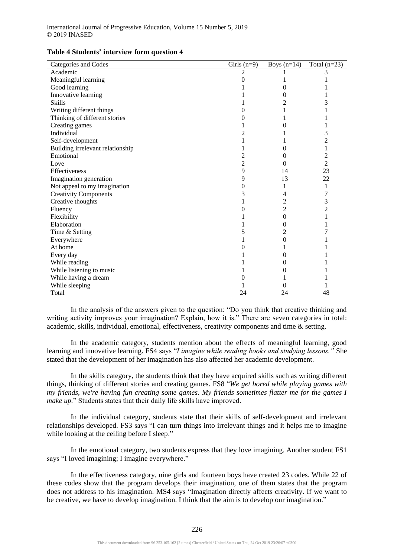| Categories and Codes             | Girls $(n=9)$            | Boys $(n=14)$  | Total $(n=23)$ |
|----------------------------------|--------------------------|----------------|----------------|
| Academic                         | $\overline{\mathcal{L}}$ |                |                |
| Meaningful learning              |                          |                |                |
| Good learning                    |                          | 0              |                |
| Innovative learning              |                          | 0              |                |
| <b>Skills</b>                    |                          | 2              | 3              |
| Writing different things         |                          |                |                |
| Thinking of different stories    |                          |                |                |
| Creating games                   |                          | 0              |                |
| Individual                       |                          |                | 3              |
| Self-development                 |                          |                | 2              |
| Building irrelevant relationship |                          | 0              | 1              |
| Emotional                        |                          | 0              | $\overline{c}$ |
| Love                             | 2                        | 0              | $\overline{c}$ |
| Effectiveness                    | 9                        | 14             | 23             |
| Imagination generation           | 9                        | 13             | 22             |
| Not appeal to my imagination     | 0                        |                | 1              |
| <b>Creativity Components</b>     | 3                        | 4              | 7              |
| Creative thoughts                |                          | $\overline{c}$ | 3              |
| Fluency                          |                          | $\overline{c}$ | 2              |
| Flexibility                      |                          | $\Omega$       |                |
| Elaboration                      |                          | 0              |                |
| Time & Setting                   |                          | 2              |                |
| Everywhere                       |                          | 0              |                |
| At home                          |                          |                |                |
| Every day                        |                          | 0              |                |
| While reading                    |                          | 0              |                |
| While listening to music         |                          | 0              |                |
| While having a dream             |                          |                |                |
| While sleeping                   |                          | 0              |                |
| Total                            | 24                       | 24             | 48             |

#### **Table 4 Students' interview form question 4**

In the analysis of the answers given to the question: "Do you think that creative thinking and writing activity improves your imagination? Explain, how it is." There are seven categories in total: academic, skills, individual, emotional, effectiveness, creativity components and time & setting.

In the academic category, students mention about the effects of meaningful learning, good learning and innovative learning. FS4 says "*I imagine while reading books and studying lessons."* She stated that the development of her imagination has also affected her academic development.

In the skills category, the students think that they have acquired skills such as writing different things, thinking of different stories and creating games. FS8 "*We get bored while playing games with my friends, we're having fun creating some games. My friends sometimes flatter me for the games I make up.*" Students states that their daily life skills have improved.

In the individual category, students state that their skills of self-development and irrelevant relationships developed. FS3 says "I can turn things into irrelevant things and it helps me to imagine while looking at the ceiling before I sleep."

In the emotional category, two students express that they love imagining. Another student FS1 says "I loved imagining; I imagine everywhere."

In the effectiveness category, nine girls and fourteen boys have created 23 codes. While 22 of these codes show that the program develops their imagination, one of them states that the program does not address to his imagination. MS4 says "Imagination directly affects creativity. If we want to be creative, we have to develop imagination. I think that the aim is to develop our imagination."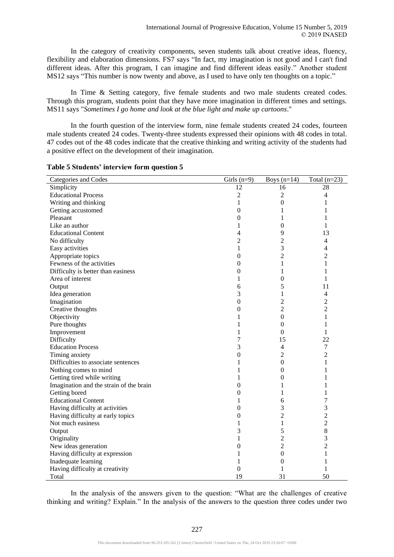In the category of creativity components, seven students talk about creative ideas, fluency, flexibility and elaboration dimensions. FS7 says "In fact, my imagination is not good and I can't find different ideas. After this program, I can imagine and find different ideas easily." Another student MS12 says "This number is now twenty and above, as I used to have only ten thoughts on a topic."

In Time & Setting category, five female students and two male students created codes. Through this program, students point that they have more imagination in different times and settings. MS11 says "*Sometimes I go home and look at the blue light and make up cartoons*."

In the fourth question of the interview form, nine female students created 24 codes, fourteen male students created 24 codes. Twenty-three students expressed their opinions with 48 codes in total. 47 codes out of the 48 codes indicate that the creative thinking and writing activity of the students had a positive effect on the development of their imagination.

| Categories and Codes                    | Girls $(n=9)$    | Boys $(n=14)$    | Total $(n=23)$           |
|-----------------------------------------|------------------|------------------|--------------------------|
| Simplicity                              | 12               | 16               | 28                       |
| <b>Educational Process</b>              | $\overline{2}$   | 2                | 4                        |
| Writing and thinking                    | 1                | $\boldsymbol{0}$ | 1                        |
| Getting accustomed                      | $\boldsymbol{0}$ | 1                | 1                        |
| Pleasant                                | $\boldsymbol{0}$ | 1                | 1                        |
| Like an author                          | $\mathbf{1}$     | $\boldsymbol{0}$ | 1                        |
| <b>Educational Content</b>              | $\overline{4}$   | 9                | 13                       |
| No difficulty                           | $\sqrt{2}$       | $\overline{2}$   | $\overline{4}$           |
| Easy activities                         | 1                | 3                | 4                        |
| Appropriate topics                      | $\boldsymbol{0}$ | 2                | $\overline{c}$           |
| Fewness of the activities               | $\boldsymbol{0}$ | 1                | 1                        |
| Difficulty is better than easiness      | 0                | 1                | 1                        |
| Area of interest                        | 1                | $\boldsymbol{0}$ | 1                        |
| Output                                  | 6                | 5                | 11                       |
| Idea generation                         | 3                | 1                | $\overline{\mathcal{L}}$ |
| Imagination                             | $\boldsymbol{0}$ | $\overline{c}$   | $\overline{c}$           |
| Creative thoughts                       | $\boldsymbol{0}$ | $\overline{c}$   | $\overline{2}$           |
| Objectivity                             | 1                | $\theta$         | 1                        |
| Pure thoughts                           | 1                | $\theta$         | 1                        |
| Improvement                             | 1                | $\theta$         | 1                        |
| Difficulty                              | 7                | 15               | 22                       |
| <b>Education Process</b>                | 3                | $\overline{4}$   | $\boldsymbol{7}$         |
| Timing anxiety                          | $\boldsymbol{0}$ | $\overline{c}$   | $\overline{c}$           |
| Difficulties to associate sentences     | 1                | $\boldsymbol{0}$ | 1                        |
| Nothing comes to mind                   | 1                | 0                | 1                        |
| Getting tired while writing             | 1                | 0                | 1                        |
| Imagination and the strain of the brain | 0                | 1                | 1                        |
| Getting bored                           | $\overline{0}$   | 1                | 1                        |
| <b>Educational Content</b>              | 1                | 6                | 7                        |
| Having difficulty at activities         | $\boldsymbol{0}$ | 3                | $\mathfrak{Z}$           |
| Having difficulty at early topics       | 0                | $\overline{c}$   | $\overline{c}$           |
| Not much easiness                       | 1                | 1                | $\overline{2}$           |
| Output                                  | 3                | 5                | 8                        |
| Originality                             | 1                | $\overline{c}$   | 3                        |
| New ideas generation                    | 0                | $\overline{c}$   | $\overline{c}$           |
| Having difficulty at expression         | 1                | $\boldsymbol{0}$ | 1                        |
| Inadequate learning                     | 1                | $\boldsymbol{0}$ | 1                        |
| Having difficulty at creativity         | $\overline{0}$   | 1                | 1                        |
| Total                                   | 19               | 31               | 50                       |

#### **Table 5 Students' interview form question 5**

In the analysis of the answers given to the question: "What are the challenges of creative thinking and writing? Explain." In the analysis of the answers to the question three codes under two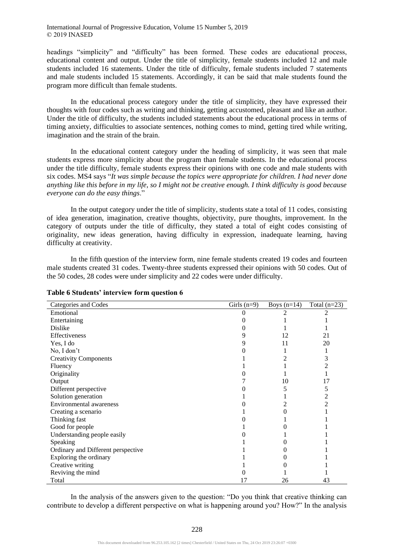headings "simplicity" and "difficulty" has been formed. These codes are educational process, educational content and output. Under the title of simplicity, female students included 12 and male students included 16 statements. Under the title of difficulty, female students included 7 statements and male students included 15 statements. Accordingly, it can be said that male students found the program more difficult than female students.

In the educational process category under the title of simplicity, they have expressed their thoughts with four codes such as writing and thinking, getting accustomed, pleasant and like an author. Under the title of difficulty, the students included statements about the educational process in terms of timing anxiety, difficulties to associate sentences, nothing comes to mind, getting tired while writing, imagination and the strain of the brain.

In the educational content category under the heading of simplicity, it was seen that male students express more simplicity about the program than female students. In the educational process under the title difficulty, female students express their opinions with one code and male students with six codes. MS4 says "*It was simple because the topics were appropriate for children. I had never done anything like this before in my life, so I might not be creative enough. I think difficulty is good because everyone can do the easy things*."

In the output category under the title of simplicity, students state a total of 11 codes, consisting of idea generation, imagination, creative thoughts, objectivity, pure thoughts, improvement. In the category of outputs under the title of difficulty, they stated a total of eight codes consisting of originality, new ideas generation, having difficulty in expression, inadequate learning, having difficulty at creativity.

In the fifth question of the interview form, nine female students created 19 codes and fourteen male students created 31 codes. Twenty-three students expressed their opinions with 50 codes. Out of the 50 codes, 28 codes were under simplicity and 22 codes were under difficulty.

| Categories and Codes               | Girls $(n=9)$ | Boys $(n=14)$ | Total $(n=23)$ |
|------------------------------------|---------------|---------------|----------------|
| Emotional                          |               |               |                |
| Entertaining                       |               |               |                |
| Dislike                            |               |               |                |
| Effectiveness                      |               | 12            | 21             |
| Yes, I do                          |               | 11            | 20             |
| No, I don't                        |               |               |                |
| <b>Creativity Components</b>       |               |               | 3              |
| Fluency                            |               |               |                |
| Originality                        |               |               |                |
| Output                             |               | 10            | 17             |
| Different perspective              |               |               | 5              |
| Solution generation                |               |               | 2              |
| <b>Environmental</b> awareness     |               |               |                |
| Creating a scenario                |               |               |                |
| Thinking fast                      |               |               |                |
| Good for people                    |               |               |                |
| Understanding people easily        |               |               |                |
| Speaking                           |               |               |                |
| Ordinary and Different perspective |               |               |                |
| Exploring the ordinary             |               |               |                |
| Creative writing                   |               |               |                |
| Reviving the mind                  |               |               |                |
| Total                              | 17            | 26            | 43             |

## **Table 6 Students' interview form question 6**

In the analysis of the answers given to the question: "Do you think that creative thinking can contribute to develop a different perspective on what is happening around you? How?" In the analysis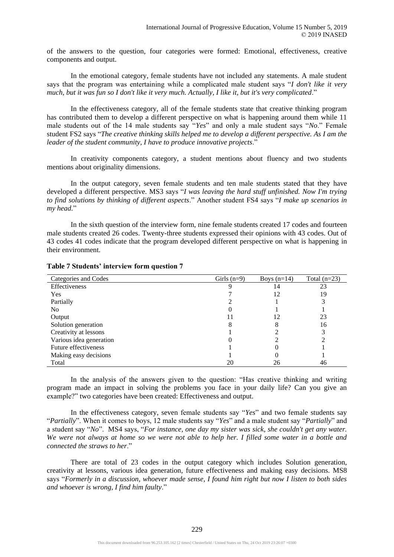of the answers to the question, four categories were formed: Emotional, effectiveness, creative components and output.

In the emotional category, female students have not included any statements. A male student says that the program was entertaining while a complicated male student says "*I don't like it very much, but it was fun so I don't like it very much. Actually, I like it, but it's very complicated*."

In the effectiveness category, all of the female students state that creative thinking program has contributed them to develop a different perspective on what is happening around them while 11 male students out of the 14 male students say "*Yes*" and only a male student says "*No*." Female student FS2 says "*The creative thinking skills helped me to develop a different perspective. As I am the leader of the student community, I have to produce innovative projects*."

In creativity components category, a student mentions about fluency and two students mentions about originality dimensions.

In the output category, seven female students and ten male students stated that they have developed a different perspective. MS3 says "*I was leaving the hard stuff unfinished. Now I'm trying to find solutions by thinking of different aspects*." Another student FS4 says "*I make up scenarios in my head.*"

In the sixth question of the interview form, nine female students created 17 codes and fourteen male students created 26 codes. Twenty-three students expressed their opinions with 43 codes. Out of 43 codes 41 codes indicate that the program developed different perspective on what is happening in their environment.

| Categories and Codes    | Girls $(n=9)$ | Boys $(n=14)$ | Total $(n=23)$ |
|-------------------------|---------------|---------------|----------------|
| Effectiveness           |               | 14            | 23             |
| <b>Yes</b>              |               | 12            | 19             |
| Partially               |               |               |                |
| No                      |               |               |                |
| Output                  |               | 12            | 23             |
| Solution generation     | 8             |               | 16             |
| Creativity at lessons   |               |               |                |
| Various idea generation |               |               |                |
| Future effectiveness    |               |               |                |
| Making easy decisions   |               |               |                |
| Total                   | 20            | 26            | 46             |

#### **Table 7 Students' interview form question 7**

In the analysis of the answers given to the question: "Has creative thinking and writing program made an impact in solving the problems you face in your daily life? Can you give an example?" two categories have been created: Effectiveness and output.

In the effectiveness category, seven female students say "*Yes*" and two female students say "*Partially*". When it comes to boys, 12 male students say "*Yes*" and a male student say "*Partially*" and a student say "*No*". MS4 says, "*For instance, one day my sister was sick, she couldn't get any water. We were not always at home so we were not able to help her. I filled some water in a bottle and connected the straws to her*."

There are total of 23 codes in the output category which includes Solution generation, creativity at lessons, various idea generation, future effectiveness and making easy decisions. MS8 says "*Formerly in a discussion, whoever made sense, I found him right but now I listen to both sides and whoever is wrong, I find him faulty*."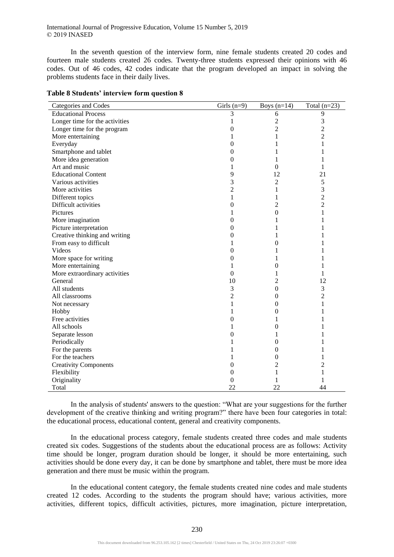In the seventh question of the interview form, nine female students created 20 codes and fourteen male students created 26 codes. Twenty-three students expressed their opinions with 46 codes. Out of 46 codes, 42 codes indicate that the program developed an impact in solving the problems students face in their daily lives.

| Categories and Codes           | Girls $(n=9)$  | Boys $(n=14)$    | Total $(n=23)$ |
|--------------------------------|----------------|------------------|----------------|
| <b>Educational Process</b>     | 3              | 6                | 9              |
| Longer time for the activities | 1              | 2                | 3              |
| Longer time for the program    | 0              | $\overline{c}$   | $\overline{c}$ |
| More entertaining              | 1              | 1                | $\overline{2}$ |
| Everyday                       | 0              | 1                | 1              |
| Smartphone and tablet          | 0              | 1                | 1              |
| More idea generation           | 0              | 1                | 1              |
| Art and music                  | 1              | $\theta$         | 1              |
| <b>Educational Content</b>     | 9              | 12               | 21             |
| Various activities             | 3              | 2                | 5              |
| More activities                | $\overline{2}$ | 1                | 3              |
| Different topics               | $\mathbf{1}$   | 1                | $\overline{c}$ |
| Difficult activities           | 0              | 2                | $\overline{c}$ |
| <b>Pictures</b>                | 1              | $\theta$         | 1              |
| More imagination               | 0              | 1                | 1              |
| Picture interpretation         | 0              | 1                | 1              |
| Creative thinking and writing  | 0              | 1                | 1              |
| From easy to difficult         | 1              | 0                | 1              |
| Videos                         | 0              | 1                | 1              |
| More space for writing         | 0              | 1                | L              |
| More entertaining              | 1              | $\theta$         | 1              |
| More extraordinary activities  | 0              | 1                | 1              |
| General                        | 10             | 2                | 12             |
| All students                   | 3              | $\boldsymbol{0}$ | 3              |
| All classrooms                 | 2              | $\boldsymbol{0}$ | $\overline{2}$ |
| Not necessary                  | 1              | $\mathbf{0}$     | 1              |
| Hobby                          | 1              | $\boldsymbol{0}$ | 1              |
| Free activities                | 0              | 1                | 1              |
| All schools                    | 1              | 0                | 1              |
| Separate lesson                | 0              | 1                |                |
| Periodically                   | 1              | $\boldsymbol{0}$ | 1              |
| For the parents                |                | $\mathbf{0}$     | 1              |
| For the teachers               |                | $\mathbf{0}$     | 1              |
| <b>Creativity Components</b>   | 0              | 2                | 2              |
| Flexibility                    | 0              | 1                | 1              |
| Originality                    | 0              | 1                | 1              |
| Total                          | 22             | 22               | 44             |

**Table 8 Students' interview form question 8**

In the analysis of students' answers to the question: "What are your suggestions for the further development of the creative thinking and writing program?" there have been four categories in total: the educational process, educational content, general and creativity components.

In the educational process category, female students created three codes and male students created six codes. Suggestions of the students about the educational process are as follows: Activity time should be longer, program duration should be longer, it should be more entertaining, such activities should be done every day, it can be done by smartphone and tablet, there must be more idea generation and there must be music within the program.

In the educational content category, the female students created nine codes and male students created 12 codes. According to the students the program should have; various activities, more activities, different topics, difficult activities, pictures, more imagination, picture interpretation,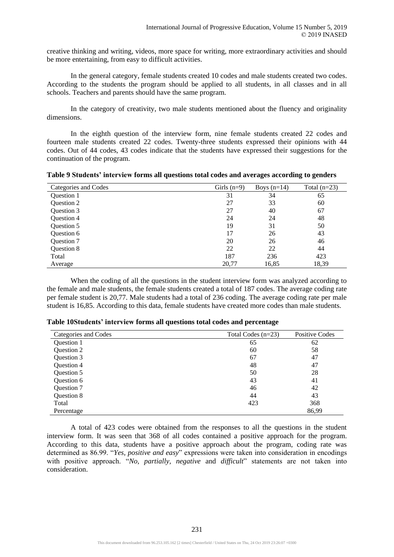creative thinking and writing, videos, more space for writing, more extraordinary activities and should be more entertaining, from easy to difficult activities.

In the general category, female students created 10 codes and male students created two codes. According to the students the program should be applied to all students, in all classes and in all schools. Teachers and parents should have the same program.

In the category of creativity, two male students mentioned about the fluency and originality dimensions.

In the eighth question of the interview form, nine female students created 22 codes and fourteen male students created 22 codes. Twenty-three students expressed their opinions with 44 codes. Out of 44 codes, 43 codes indicate that the students have expressed their suggestions for the continuation of the program.

**Table 9 Students' interview forms all questions total codes and averages according to genders**

| Categories and Codes | Girls $(n=9)$ | Boys $(n=14)$ | Total $(n=23)$ |
|----------------------|---------------|---------------|----------------|
| <b>Ouestion 1</b>    | 31            | 34            | 65             |
| Question 2           | 27            | 33            | 60             |
| Question 3           | 27            | 40            | 67             |
| Question 4           | 24            | 24            | 48             |
| Question 5           | 19            | 31            | 50             |
| Question 6           | 17            | 26            | 43             |
| Question 7           | 20            | 26            | 46             |
| Question 8           | 22            | 22            | 44             |
| Total                | 187           | 236           | 423            |
| Average              | 20,77         | 16,85         | 18,39          |

When the coding of all the questions in the student interview form was analyzed according to the female and male students, the female students created a total of 187 codes. The average coding rate per female student is 20,77. Male students had a total of 236 coding. The average coding rate per male student is 16,85. According to this data, female students have created more codes than male students.

| Categories and Codes | Total Codes $(n=23)$ | Positive Codes |
|----------------------|----------------------|----------------|
| <b>Ouestion 1</b>    | 65                   | 62             |
| Question 2           | 60                   | 58             |
| Question 3           | 67                   | 47             |
| Question 4           | 48                   | 47             |
| Question 5           | 50                   | 28             |
| Question 6           | 43                   | 41             |
| Question 7           | 46                   | 42             |
| Question 8           | 44                   | 43             |
| Total                | 423                  | 368            |
| Percentage           |                      | 86,99          |

**Table 10Students' interview forms all questions total codes and percentage**

A total of 423 codes were obtained from the responses to all the questions in the student interview form. It was seen that 368 of all codes contained a positive approach for the program. According to this data, students have a positive approach about the program, coding rate was determined as 86.99. "*Yes, positive and easy*" expressions were taken into consideration in encodings with positive approach. "*No, partially, negative* and *difficult*" statements are not taken into consideration.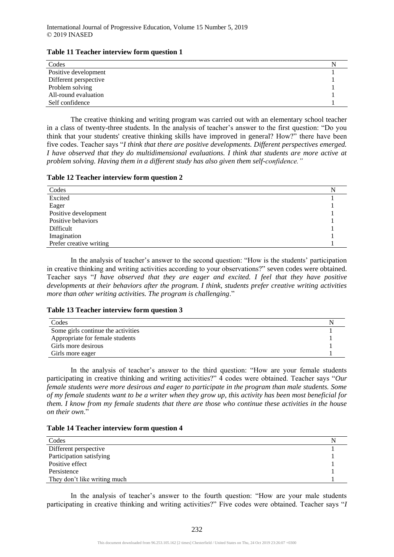| Codes                 |  |
|-----------------------|--|
| Positive development  |  |
| Different perspective |  |
| Problem solving       |  |
| All-round evaluation  |  |
| Self confidence       |  |

The creative thinking and writing program was carried out with an elementary school teacher in a class of twenty-three students. In the analysis of teacher's answer to the first question: "Do you think that your students' creative thinking skills have improved in general? How?" there have been five codes. Teacher says "*I think that there are positive developments. Different perspectives emerged. I have observed that they do multidimensional evaluations. I think that students are more active at problem solving. Having them in a different study has also given them self-confidence."*

**Table 12 Teacher interview form question 2**

| Codes                   |  |
|-------------------------|--|
|                         |  |
| Excited                 |  |
| Eager                   |  |
| Positive development    |  |
| Positive behaviors      |  |
| Difficult               |  |
| Imagination             |  |
| Prefer creative writing |  |

In the analysis of teacher's answer to the second question: "How is the students' participation in creative thinking and writing activities according to your observations?" seven codes were obtained. Teacher says "*I have observed that they are eager and excited. I feel that they have positive developments at their behaviors after the program. I think, students prefer creative writing activities more than other writing activities. The program is challenging*."

#### **Table 13 Teacher interview form question 3**

| Codes                              |  |
|------------------------------------|--|
| Some girls continue the activities |  |
| Appropriate for female students    |  |
| Girls more desirous                |  |
| Girls more eager                   |  |

In the analysis of teacher's answer to the third question: "How are your female students participating in creative thinking and writing activities?" 4 codes were obtained. Teacher says "*Our female students were more desirous and eager to participate in the program than male students. Some of my female students want to be a writer when they grow up, this activity has been most beneficial for them. I know from my female students that there are those who continue these activities in the house on their own*."

#### **Table 14 Teacher interview form question 4**

| Codes                        |  |
|------------------------------|--|
| Different perspective        |  |
| Participation satisfying     |  |
| Positive effect              |  |
| Persistence                  |  |
| They don't like writing much |  |

In the analysis of teacher's answer to the fourth question: "How are your male students participating in creative thinking and writing activities?" Five codes were obtained. Teacher says "*I*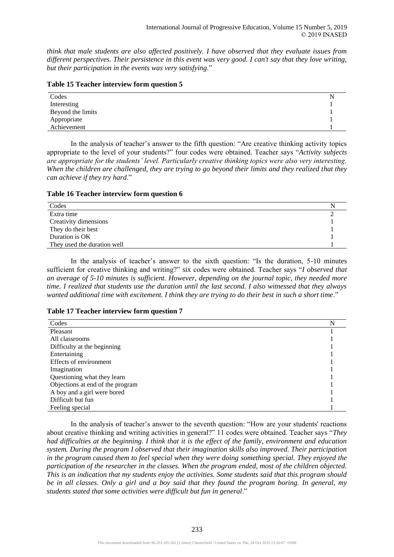*think that male students are also affected positively. I have observed that they evaluate issues from different perspectives. Their persistence in this event was very good. I can't say that they love writing, but their participation in the events was very satisfying*."

| Table 15 Teacher interview form question 5 |  |  |  |  |  |  |  |  |
|--------------------------------------------|--|--|--|--|--|--|--|--|
|--------------------------------------------|--|--|--|--|--|--|--|--|

| Codes             |  |
|-------------------|--|
| Interesting       |  |
| Beyond the limits |  |
| Appropriate       |  |
| Achievement       |  |

In the analysis of teacher's answer to the fifth question: "Are creative thinking activity topics appropriate to the level of your students?" four codes were obtained. Teacher says "*Activity subjects are appropriate for the students' level. Particularly creative thinking topics were also very interesting. When the children are challenged, they are trying to go beyond their limits and they realized that they can achieve if they try hard*."

**Table 16 Teacher interview form question 6**

| Codes                       |  |
|-----------------------------|--|
| Extra time                  |  |
| Creativity dimensions       |  |
| They do their best          |  |
| Duration is OK              |  |
| They used the duration well |  |

In the analysis of teacher's answer to the sixth question: "Is the duration, 5-10 minutes sufficient for creative thinking and writing?" six codes were obtained. Teacher says "*I observed that an average of 5-10 minutes is sufficient. However, depending on the journal topic, they needed more time. I realized that students use the duration until the last second. I also witnessed that they always wanted additional time with excitement. I think they are trying to do their best in such a short time*."

#### **Table 17 Teacher interview form question 7**

| Codes                            |  |
|----------------------------------|--|
| Pleasant                         |  |
| All classrooms                   |  |
| Difficulty at the beginning      |  |
| Entertaining                     |  |
| Effects of environment           |  |
| Imagination                      |  |
| Questioning what they learn      |  |
| Objections at end of the program |  |
| A boy and a girl were bored      |  |
| Difficult but fun                |  |
| Feeling special                  |  |

In the analysis of teacher's answer to the seventh question: "How are your students' reactions about creative thinking and writing activities in general?" 11 codes were obtained. Teacher says "*They had difficulties at the beginning. I think that it is the effect of the family, environment and education system. During the program I observed that their imagination skills also improved. Their participation in the program caused them to feel special when they were doing something special. They enjoyed the participation of the researcher in the classes. When the program ended, most of the children objected. This is an indication that my students enjoy the activities. Some students said that this program should be in all classes. Only a girl and a boy said that they found the program boring. In general, my students stated that some activities were difficult but fun in general*."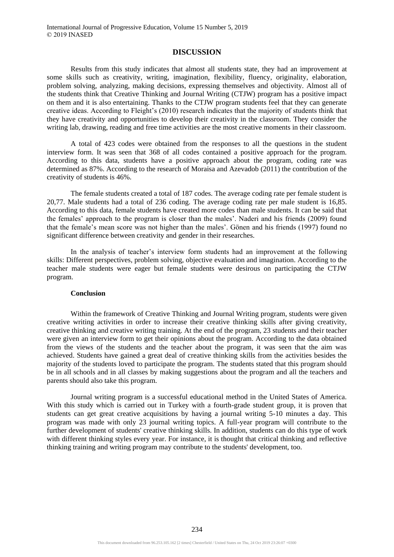#### **DISCUSSION**

Results from this study indicates that almost all students state, they had an improvement at some skills such as creativity, writing, imagination, flexibility, fluency, originality, elaboration, problem solving, analyzing, making decisions, expressing themselves and objectivity. Almost all of the students think that Creative Thinking and Journal Writing (CTJW) program has a positive impact on them and it is also entertaining. Thanks to the CTJW program students feel that they can generate creative ideas. According to Fleight's (2010) research indicates that the majority of students think that they have creativity and opportunities to develop their creativity in the classroom. They consider the writing lab, drawing, reading and free time activities are the most creative moments in their classroom.

A total of 423 codes were obtained from the responses to all the questions in the student interview form. It was seen that 368 of all codes contained a positive approach for the program. According to this data, students have a positive approach about the program, coding rate was determined as 87%. According to the research of Moraisa and Azevadob (2011) the contribution of the creativity of students is 46%.

The female students created a total of 187 codes. The average coding rate per female student is 20,77. Male students had a total of 236 coding. The average coding rate per male student is 16,85. According to this data, female students have created more codes than male students. It can be said that the females' approach to the program is closer than the males'. Naderi and his friends (2009) found that the female's mean score was not higher than the males'. Gönen and his friends (1997) found no significant difference between creativity and gender in their researches.

In the analysis of teacher's interview form students had an improvement at the following skills: Different perspectives, problem solving, objective evaluation and imagination. According to the teacher male students were eager but female students were desirous on participating the CTJW program.

#### **Conclusion**

Within the framework of Creative Thinking and Journal Writing program, students were given creative writing activities in order to increase their creative thinking skills after giving creativity, creative thinking and creative writing training. At the end of the program, 23 students and their teacher were given an interview form to get their opinions about the program. According to the data obtained from the views of the students and the teacher about the program, it was seen that the aim was achieved. Students have gained a great deal of creative thinking skills from the activities besides the majority of the students loved to participate the program. The students stated that this program should be in all schools and in all classes by making suggestions about the program and all the teachers and parents should also take this program.

Journal writing program is a successful educational method in the United States of America. With this study which is carried out in Turkey with a fourth-grade student group, it is proven that students can get great creative acquisitions by having a journal writing 5-10 minutes a day. This program was made with only 23 journal writing topics. A full-year program will contribute to the further development of students' creative thinking skills. In addition, students can do this type of work with different thinking styles every year. For instance, it is thought that critical thinking and reflective thinking training and writing program may contribute to the students' development, too.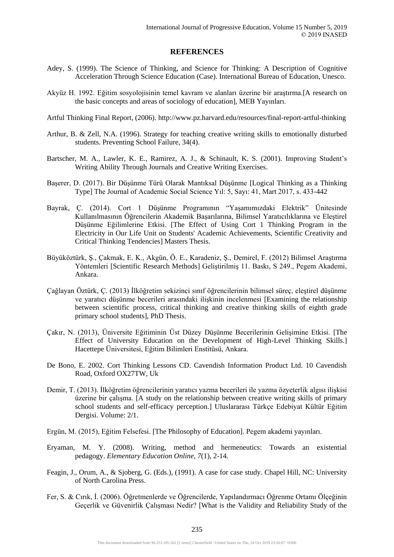## **REFERENCES**

- Adey, S. (1999). The Science of Thinking, and Science for Thinking: A Description of Cognitive Acceleration Through Science Education (Case). International Bureau of Education, Unesco.
- Akyüz H. 1992. Eğitim sosyolojisinin temel kavram ve alanları üzerine bir araştırma.[A research on the basic concepts and areas of sociology of education], MEB Yayınları.
- Artful Thinking Final Report, (2006). http://www.pz.harvard.edu/resources/final-report-artful-thinking
- Arthur, B. & Zell, N.A. (1996). Strategy for teaching creative writing skills to emotionally disturbed students. Preventing School Failure, 34(4).
- Bartscher, M. A., Lawler, K. E., Ramirez, A. J., & Schinault, K. S. (2001). Improving Student's Writing Ability Through Journals and Creative Writing Exercises.
- Başerer, D. (2017). Bir Düşünme Türü Olarak Mantıksal Düşünme [Logical Thinking as a Thinking Type] The Journal of Academic Social Science Yıl: 5, Sayı: 41, Mart 2017, s. 433-442
- Bayrak, Ç. (2014). Cort 1 Düşünme Programının "Yaşamımızdaki Elektrik" Ünitesinde Kullanılmasının Öğrencilerin Akademik Başarılarına, Bilimsel Yaratıcılıklarına ve Eleştirel Düşünme Eğilimlerine Etkisi. [The Effect of Using Cort 1 Thinking Program in the Electricity in Our Life Unit on Students' Academic Achievements, Scientific Creativity and Critical Thinking Tendencies] Masters Thesis.
- Büyüköztürk, Ş., Çakmak, E. K., Akgün, Ö. E., Karadeniz, Ş., Demirel, F. (2012) Bilimsel Araştırma Yöntemleri [Scientific Research Methods] Geliştirilmiş 11. Baskı, S 249., Pegem Akademi, Ankara.
- Çağlayan Öztürk, Ç. (2013) İlköğretim sekizinci sınıf öğrencilerinin bilimsel süreç, eleştirel düşünme ve yaratıcı düşünme becerileri arasındaki ilişkinin incelenmesi [Examining the relationship between scientific process, critical thinking and creative thinking skills of eighth grade primary school students], PhD Thesis.
- Çakır, N. (2013), Üniversite Eğitiminin Üst Düzey Düşünme Becerilerinin Gelişimine Etkisi. [The Effect of University Education on the Development of High-Level Thinking Skills.] Hacettepe Üniversitesi, Eğitim Bilimleri Enstitüsü, Ankara.
- De Bono, E. 2002. Cort Thinking Lessons CD. Cavendish Information Product Ltd. 10 Cavendish Road, Oxford OX27TW, Uk
- Demir, T. (2013). İlköğretim öğrencilerinin yaratıcı yazma becerileri ile yazma özyeterlik algısı ilişkisi üzerine bir çalışma. [A study on the relationship between creative writing skills of primary school students and self-efficacy perception.] Uluslararası Türkçe Edebiyat Kültür Eğitim Dergisi. Volume: 2/1.
- Ergün, M. (2015), Eğitim Felsefesi. [The Philosophy of Education]. Pegem akademi yayınları.
- Eryaman, M. Y. (2008). Writing, method and hermeneutics: Towards an existential pedagogy. *Elementary Education Online, 7*(1), 2-14.
- Feagin, J., Orum, A., & Sjoberg, G. (Eds.), (1991). A case for case study. Chapel Hill, NC: University of North Carolina Press.
- Fer, S. & Cırık, İ. (2006). Öğretmenlerde ve Öğrencilerde, Yapılandırmacı Öğrenme Ortamı Ölçeğinin Geçerlik ve Güvenirlik Çalışması Nedir? [What is the Validity and Reliability Study of the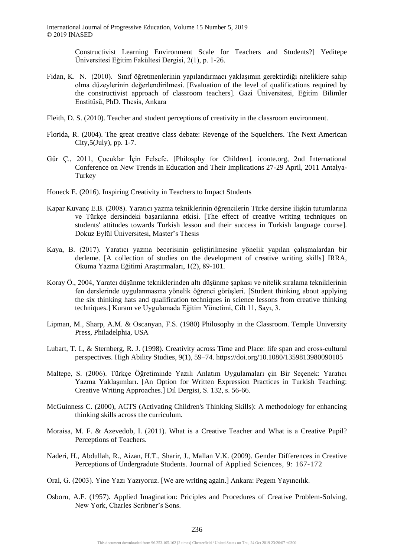Constructivist Learning Environment Scale for Teachers and Students?] Yeditepe Üniversitesi Eğitim Fakültesi Dergisi, 2(1), p. 1-26.

- Fidan, K. N. (2010). Sınıf öğretmenlerinin yapılandırmacı yaklaşımın gerektirdiği niteliklere sahip olma düzeylerinin değerlendirilmesi. [Evaluation of the level of qualifications required by the constructivist approach of classroom teachers]. Gazi Üniversitesi, Eğitim Bilimler Enstitüsü, PhD. Thesis, Ankara
- Fleith, D. S. (2010). Teacher and student perceptions of creativity in the classroom environment.
- Florida, R. (2004). The great creative class debate: Revenge of the Squelchers. The Next American City,5(July), pp. 1-7.
- Gür Ç., 2011, Çocuklar İçin Felsefe. [Philosphy for Children]. iconte.org, 2nd International Conference on New Trends in Education and Their Implications 27-29 April, 2011 Antalya-Turkey
- Honeck E. (2016). Inspiring Creativity in Teachers to Impact Students
- Kapar Kuvanç E.B. (2008). Yaratıcı yazma tekniklerinin öğrencilerin Türke dersine ilişkin tutumlarına ve Türkçe dersindeki başarılarına etkisi. [The effect of creative writing techniques on students' attitudes towards Turkish lesson and their success in Turkish language course]. Dokuz Eylül Üniversitesi, Master's Thesis
- Kaya, B. (2017). Yaratıcı yazma becerisinin geliştirilmesine yönelik yapılan çalışmalardan bir derleme. [A collection of studies on the development of creative writing skills] IRRA, Okuma Yazma Eğitimi Araştırmaları, 1(2), 89-101.
- Koray Ö., 2004, Yaratcı düşünme tekniklerinden altı düşünme şapkası ve nitelik sıralama tekniklerinin fen derslerinde uygulanmasına yönelik öğrenci görüşleri. [Student thinking about applying the six thinking hats and qualification techniques in science lessons from creative thinking techniques.] Kuram ve Uygulamada Eğitim Yönetimi, Cilt 11, Sayı, 3.
- Lipman, M., Sharp, A.M. & Oscanyan, F.S. (1980) Philosophy in the Classroom. Temple University Press, Philadelphia, USA
- Lubart, T. I., & Sternberg, R. J. (1998). Creativity across Time and Place: life span and cross-cultural perspectives. High Ability Studies, 9(1), 59–74. https://doi.org/10.1080/1359813980090105
- Maltepe, S. (2006). Türkçe Öğretiminde Yazılı Anlatım Uygulamaları çin Bir Seçenek: Yaratıcı Yazma Yaklaşımları. [An Option for Written Expression Practices in Turkish Teaching: Creative Writing Approaches.] Dil Dergisi, S. 132, s. 56-66.
- McGuinness C. (2000), ACTS (Activating Children's Thinking Skills): A methodology for enhancing thinking skills across the curriculum.
- Moraisa, M. F. & Azevedob, I. (2011). What is a Creative Teacher and What is a Creative Pupil? Perceptions of Teachers.
- Naderi, H., Abdullah, R., Aizan, H.T., Sharir, J., Mallan V.K. (2009). Gender Differences in Creative Perceptions of Undergradute Students. Journal of Applied Sciences, 9: 167-172
- Oral, G. (2003). Yine Yazı Yazıyoruz. [We are writing again.] Ankara: Pegem Yayıncılık.
- Osborn, A.F. (1957). Applied Imagination: Priciples and Procedures of Creative Problem-Solving, New York, Charles Scribner's Sons.